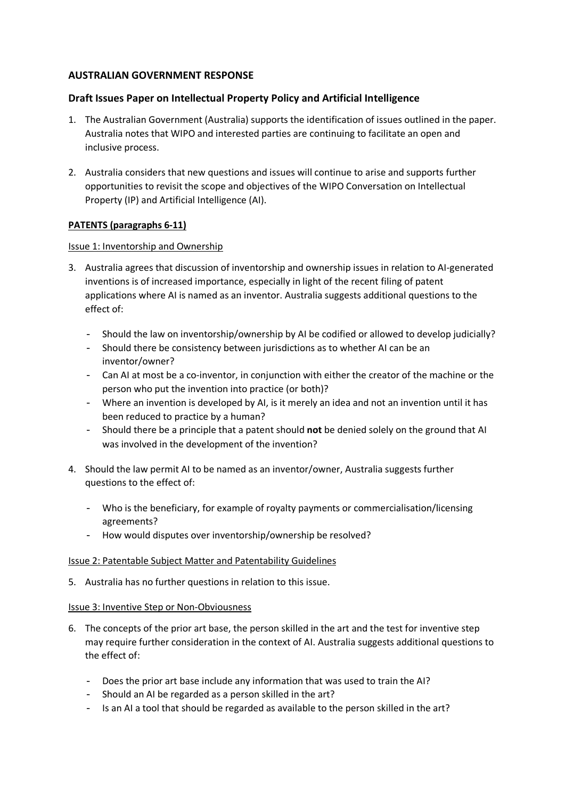# **AUSTRALIAN GOVERNMENT RESPONSE**

# **Draft Issues Paper on Intellectual Property Policy and Artificial Intelligence**

- 1. The Australian Government (Australia) supports the identification of issues outlined in the paper. Australia notes that WIPO and interested parties are continuing to facilitate an open and inclusive process.
- 2. Australia considers that new questions and issues will continue to arise and supports further opportunities to revisit the scope and objectives of the WIPO Conversation on Intellectual Property (IP) and Artificial Intelligence (AI).

## **PATENTS (paragraphs 6-11)**

### Issue 1: Inventorship and Ownership

- 3. Australia agrees that discussion of inventorship and ownership issues in relation to AI-generated inventions is of increased importance, especially in light of the recent filing of patent applications where AI is named as an inventor. Australia suggests additional questions to the effect of:
	- Should the law on inventorship/ownership by AI be codified or allowed to develop judicially?
	- Should there be consistency between jurisdictions as to whether AI can be an inventor/owner?
	- Can AI at most be a co-inventor, in conjunction with either the creator of the machine or the person who put the invention into practice (or both)?
	- Where an invention is developed by AI, is it merely an idea and not an invention until it has been reduced to practice by a human?
	- Should there be a principle that a patent should **not** be denied solely on the ground that AI was involved in the development of the invention?
- 4. Should the law permit AI to be named as an inventor/owner, Australia suggests further questions to the effect of:
	- Who is the beneficiary, for example of royalty payments or commercialisation/licensing agreements?
	- How would disputes over inventorship/ownership be resolved?

### Issue 2: Patentable Subject Matter and Patentability Guidelines

5. Australia has no further questions in relation to this issue.

### Issue 3: Inventive Step or Non-Obviousness

- 6. The concepts of the prior art base, the person skilled in the art and the test for inventive step may require further consideration in the context of AI. Australia suggests additional questions to the effect of:
	- Does the prior art base include any information that was used to train the AI?
	- Should an AI be regarded as a person skilled in the art?
	- Is an AI a tool that should be regarded as available to the person skilled in the art?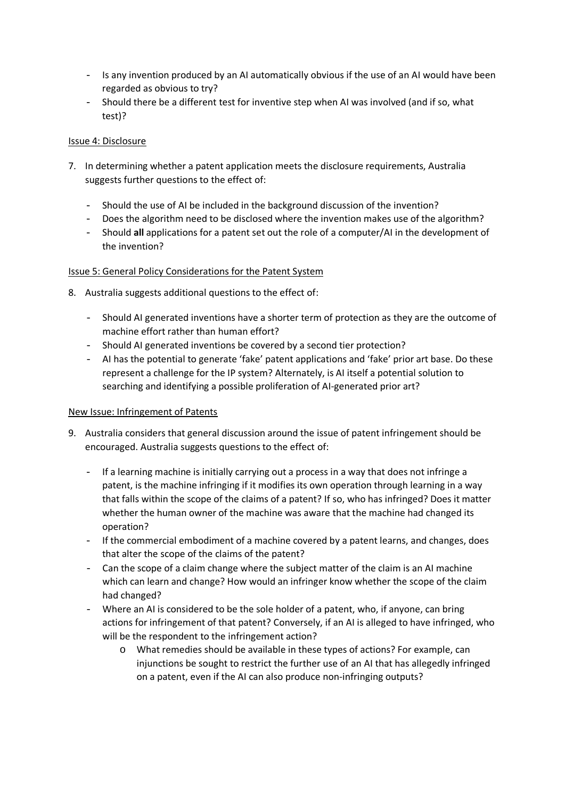- Is any invention produced by an AI automatically obvious if the use of an AI would have been regarded as obvious to try?
- Should there be a different test for inventive step when AI was involved (and if so, what test)?

# Issue 4: Disclosure

- 7. In determining whether a patent application meets the disclosure requirements, Australia suggests further questions to the effect of:
	- Should the use of AI be included in the background discussion of the invention?
	- Does the algorithm need to be disclosed where the invention makes use of the algorithm?
	- Should **all** applications for a patent set out the role of a computer/AI in the development of the invention?

# Issue 5: General Policy Considerations for the Patent System

- 8. Australia suggests additional questions to the effect of:
	- Should AI generated inventions have a shorter term of protection as they are the outcome of machine effort rather than human effort?
	- Should AI generated inventions be covered by a second tier protection?
	- AI has the potential to generate 'fake' patent applications and 'fake' prior art base. Do these represent a challenge for the IP system? Alternately, is AI itself a potential solution to searching and identifying a possible proliferation of AI-generated prior art?

### New Issue: Infringement of Patents

- 9. Australia considers that general discussion around the issue of patent infringement should be encouraged. Australia suggests questions to the effect of:
	- If a learning machine is initially carrying out a process in a way that does not infringe a patent, is the machine infringing if it modifies its own operation through learning in a way that falls within the scope of the claims of a patent? If so, who has infringed? Does it matter whether the human owner of the machine was aware that the machine had changed its operation?
	- If the commercial embodiment of a machine covered by a patent learns, and changes, does that alter the scope of the claims of the patent?
	- Can the scope of a claim change where the subject matter of the claim is an AI machine which can learn and change? How would an infringer know whether the scope of the claim had changed?
	- Where an AI is considered to be the sole holder of a patent, who, if anyone, can bring actions for infringement of that patent? Conversely, if an AI is alleged to have infringed, who will be the respondent to the infringement action?
		- o What remedies should be available in these types of actions? For example, can injunctions be sought to restrict the further use of an AI that has allegedly infringed on a patent, even if the AI can also produce non-infringing outputs?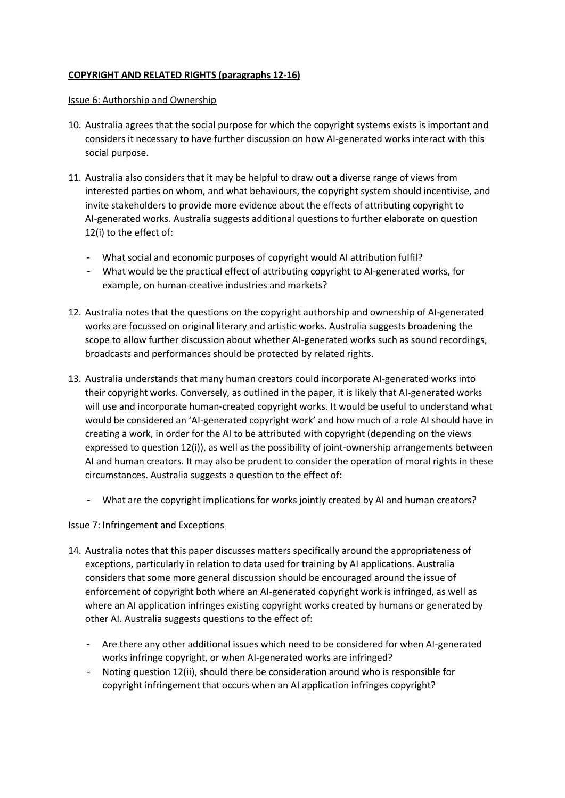# **COPYRIGHT AND RELATED RIGHTS (paragraphs 12-16)**

#### Issue 6: Authorship and Ownership

- 10. Australia agrees that the social purpose for which the copyright systems exists is important and considers it necessary to have further discussion on how AI-generated works interact with this social purpose.
- 11. Australia also considers that it may be helpful to draw out a diverse range of views from interested parties on whom, and what behaviours, the copyright system should incentivise, and invite stakeholders to provide more evidence about the effects of attributing copyright to AI-generated works. Australia suggests additional questions to further elaborate on question 12(i) to the effect of:
	- What social and economic purposes of copyright would AI attribution fulfil?
	- What would be the practical effect of attributing copyright to AI-generated works, for example, on human creative industries and markets?
- 12. Australia notes that the questions on the copyright authorship and ownership of AI-generated works are focussed on original literary and artistic works. Australia suggests broadening the scope to allow further discussion about whether AI-generated works such as sound recordings, broadcasts and performances should be protected by related rights.
- 13. Australia understands that many human creators could incorporate AI-generated works into their copyright works. Conversely, as outlined in the paper, it is likely that AI-generated works will use and incorporate human-created copyright works. It would be useful to understand what would be considered an 'AI-generated copyright work' and how much of a role AI should have in creating a work, in order for the AI to be attributed with copyright (depending on the views expressed to question 12(i)), as well as the possibility of joint-ownership arrangements between AI and human creators. It may also be prudent to consider the operation of moral rights in these circumstances. Australia suggests a question to the effect of:
	- What are the copyright implications for works jointly created by AI and human creators?

### Issue 7: Infringement and Exceptions

- 14. Australia notes that this paper discusses matters specifically around the appropriateness of exceptions, particularly in relation to data used for training by AI applications. Australia considers that some more general discussion should be encouraged around the issue of enforcement of copyright both where an AI-generated copyright work is infringed, as well as where an AI application infringes existing copyright works created by humans or generated by other AI. Australia suggests questions to the effect of:
	- Are there any other additional issues which need to be considered for when AI-generated works infringe copyright, or when AI-generated works are infringed?
	- Noting question 12(ii), should there be consideration around who is responsible for copyright infringement that occurs when an AI application infringes copyright?